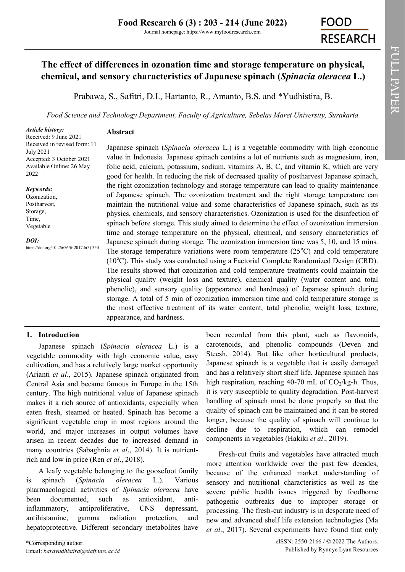Journal homepage: https://www.myfoodresearch.com

# **FOOD RESEARCH**

## **The effect of differences in ozonation time and storage temperature on physical, chemical, and sensory characteristics of Japanese spinach (***Spinacia oleracea* **L.)**

Prabawa, S., Safitri, D.I., Hartanto, R., Amanto, B.S. and \*Yudhistira, B.

*Food Science and Technology Department, Faculty of Agriculture, Sebelas Maret University, Surakarta*

#### *Article history:*

Received: 9 June 2021 Received in revised form: 11 July 2021 Accepted: 3 October 2021 Available Online: 26 May 2022

#### *Keywords:*

Ozonization, Postharvest, Storage, Time, Vegetable

*DOI:*

https://doi.org/10.26656/fr.2017.6(3).350

#### **Abstract**

Japanese spinach (*Spinacia oleracea* L.) is a vegetable commodity with high economic value in Indonesia. Japanese spinach contains a lot of nutrients such as magnesium, iron, folic acid, calcium, potassium, sodium, vitamins A, B, C, and vitamin K, which are very good for health. In reducing the risk of decreased quality of postharvest Japanese spinach, the right ozonization technology and storage temperature can lead to quality maintenance of Japanese spinach. The ozonization treatment and the right storage temperature can maintain the nutritional value and some characteristics of Japanese spinach, such as its physics, chemicals, and sensory characteristics. Ozonization is used for the disinfection of spinach before storage. This study aimed to determine the effect of ozonization immersion time and storage temperature on the physical, chemical, and sensory characteristics of Japanese spinach during storage. The ozonization immersion time was 5, 10, and 15 mins. The storage temperature variations were room temperature  $(25^{\circ}C)$  and cold temperature  $(10^{\circ}C)$ . This study was conducted using a Factorial Complete Randomized Design (CRD). The results showed that ozonization and cold temperature treatments could maintain the physical quality (weight loss and texture), chemical quality (water content and total phenolic), and sensory quality (appearance and hardness) of Japanese spinach during storage. A total of 5 min of ozonization immersion time and cold temperature storage is the most effective treatment of its water content, total phenolic, weight loss, texture, appearance, and hardness.

## **1. Introduction**

Japanese spinach (*Spinacia oleracea* L.) is a vegetable commodity with high economic value, easy cultivation, and has a relatively large market opportunity (Arianti *et al*., 2015). Japanese spinach originated from Central Asia and became famous in Europe in the 15th century. The high nutritional value of Japanese spinach makes it a rich source of antioxidants, especially when eaten fresh, steamed or heated. Spinach has become a significant vegetable crop in most regions around the world, and major increases in output volumes have arisen in recent decades due to increased demand in many countries (Sabaghnia *et al*., 2014). It is nutrientrich and low in price (Ren *et al*., 2018).

A leafy vegetable belonging to the goosefoot family is spinach (*Spinacia oleracea* L.). Various pharmacological activities of *Spinacia oleracea* have been documented, such as antioxidant, antiinflammatory, antiproliferative, CNS depressant, antihistamine, gamma radiation protection, and hepatoprotective. Different secondary metabolites have

\*Corresponding author. Email: *barayudhistira@staff.uns.ac.id*  high respiration, reaching 40-70 mL of  $CO<sub>2</sub>/kg-h$ . Thus, it is very susceptible to quality degradation. Post-harvest handling of spinach must be done properly so that the quality of spinach can be maintained and it can be stored longer, because the quality of spinach will continue to decline due to respiration, which can remodel components in vegetables (Hakiki *et al*., 2019). Fresh-cut fruits and vegetables have attracted much more attention worldwide over the past few decades, because of the enhanced market understanding of sensory and nutritional characteristics as well as the

been recorded from this plant, such as flavonoids, carotenoids, and phenolic compounds (Deven and Steesh, 2014). But like other horticultural products, Japanese spinach is a vegetable that is easily damaged and has a relatively short shelf life. Japanese spinach has

severe public health issues triggered by foodborne pathogenic outbreaks due to improper storage or processing. The fresh-cut industry is in desperate need of new and advanced shelf life extension technologies (Ma *et al*., 2017). Several experiments have found that only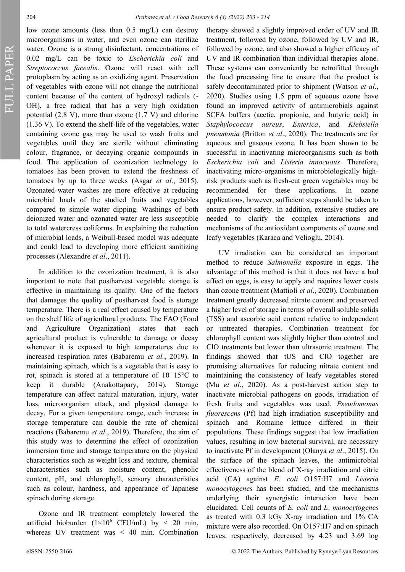FULL PAPER

low ozone amounts (less than 0.5 mg/L) can destroy microorganisms in water, and even ozone can sterilize water. Ozone is a strong disinfectant, concentrations of 0.02 mg/L can be toxic to *Escherichia coli* and *Streptococcus facealis*. Ozone will react with cell protoplasm by acting as an oxidizing agent. Preservation of vegetables with ozone will not change the nutritional content because of the content of hydroxyl radicals (- OH), a free radical that has a very high oxidation potential (2.8 V), more than ozone (1.7 V) and chlorine (1.36 V). To extend the shelf-life of the vegetables, water containing ozone gas may be used to wash fruits and vegetables until they are sterile without eliminating colour, fragrance, or decaying organic compounds in food. The application of ozonization technology to tomatoes has been proven to extend the freshness of tomatoes by up to three weeks (Asgar *et al*., 2015). Ozonated-water washes are more effective at reducing microbial loads of the studied fruits and vegetables compared to simple water dipping. Washings of both deionized water and ozonated water are less susceptible to total watercress coliforms. In explaining the reduction of microbial loads, a Weibull-based model was adequate and could lead to developing more efficient sanitizing processes (Alexandre *et al*., 2011).

In addition to the ozonization treatment, it is also important to note that postharvest vegetable storage is effective in maintaining its quality. One of the factors that damages the quality of postharvest food is storage temperature. There is a real effect caused by temperature on the shelf life of agricultural products. The FAO (Food and Agriculture Organization) states that each agricultural product is vulnerable to damage or decay whenever it is exposed to high temperatures due to increased respiration rates (Babaremu *et al.*, 2019). In maintaining spinach, which is a vegetable that is easy to rot, spinach is stored at a temperature of 10−15°C to keep it durable (Anakottapary, 2014). Storage temperature can affect natural maturation, injury, water loss, microorganism attack, and physical damage to decay. For a given temperature range, each increase in storage temperature can double the rate of chemical reactions (Babaremu *et al*., 2019). Therefore, the aim of this study was to determine the effect of ozonization immersion time and storage temperature on the physical characteristics such as weight loss and texture, chemical characteristics such as moisture content, phenolic content, pH, and chlorophyll, sensory characteristics such as colour, hardness, and appearance of Japanese spinach during storage.

Ozone and IR treatment completely lowered the artificial bioburden  $(1\times10^6 \text{ CFU/mL})$  by < 20 min, whereas UV treatment was < 40 min. Combination therapy showed a slightly improved order of UV and IR treatment, followed by ozone, followed by UV and IR, followed by ozone, and also showed a higher efficacy of UV and IR combination than individual therapies alone. These systems can conveniently be retrofitted through the food processing line to ensure that the product is safely decontaminated prior to shipment (Watson *et al*., 2020). Studies using 1.5 ppm of aqueous ozone have found an improved activity of antimicrobials against SCFA buffers (acetic, propionic, and butyric acid) in *Staphylococcus aureus*, *Enterica*, and *Klebsiella pneumonia* (Britton *et al*., 2020). The treatments are for aqueous and gaseous ozone. It has been shown to be successful in inactivating microorganisms such as both *Escherichia coli* and *Listeria innocuous*. Therefore, inactivating micro-organisms in microbiologically highrisk products such as fresh-cut green vegetables may be recommended for these applications. In ozone applications, however, sufficient steps should be taken to ensure product safety. In addition, extensive studies are needed to clarify the complex interactions and mechanisms of the antioxidant components of ozone and leafy vegetables (Karaca and Velioglu, 2014).

UV irradiation can be considered an important method to reduce *Salmonella* exposure in eggs. The advantage of this method is that it does not have a bad effect on eggs, is easy to apply and requires lower costs than ozone treatment (Mattioli *et al*., 2020). Combination treatment greatly decreased nitrate content and preserved a higher level of storage in terms of overall soluble solids (TSS) and ascorbic acid content relative to independent or untreated therapies. Combination treatment for chlorophyll content was slightly higher than control and ClO treatments but lower than ultrasonic treatment. The findings showed that tUS and ClO together are promising alternatives for reducing nitrate content and maintaining the consistency of leafy vegetables stored (Mu *et al*., 2020). As a post-harvest action step to inactivate microbial pathogens on goods, irradiation of fresh fruits and vegetables was used. *Pseudomonas fluorescens* (Pf) had high irradiation susceptibility and spinach and Romaine lettuce differed in their populations. These findings suggest that low irradiation values, resulting in low bacterial survival, are necessary to inactivate Pf in development (Olanya *et al*., 2015). On the surface of the spinach leaves, the antimicrobial effectiveness of the blend of X-ray irradiation and citric acid (CA) against *E. coli* O157:H7 and *Listeria monocytogenes* has been studied, and the mechanisms underlying their synergistic interaction have been elucidated. Cell counts of *E. coli* and *L*. *monocytogenes* as treated with 0.3 kGy X-ray irradiation and 1% CA mixture were also recorded. On O157:H7 and on spinach leaves, respectively, decreased by 4.23 and 3.69 log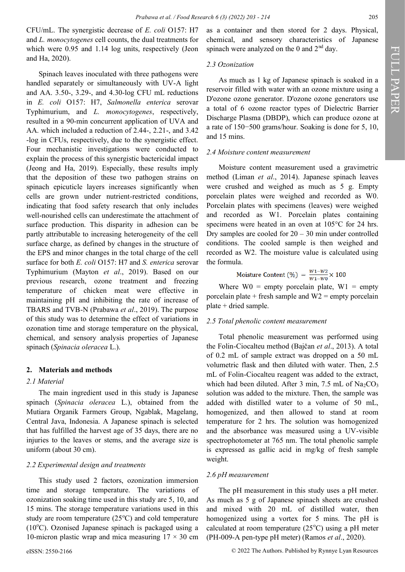CFU/mL. The synergistic decrease of *E. coli* O157: H7 and *L. monocytogenes* cell counts, the dual treatments for which were 0.95 and 1.14 log units, respectively (Jeon and Ha, 2020).

Spinach leaves inoculated with three pathogens were handled separately or simultaneously with UV-A light and AA. 3.50-, 3.29-, and 4.30-log CFU mL reductions in *E. coli* O157: H7, *Salmonella enterica* serovar Typhimurium, and *L. monocytogenes*, respectively, resulted in a 90-min concurrent application of UVA and AA. which included a reduction of 2.44-, 2.21-, and 3.42 -log in CFUs, respectively, due to the synergistic effect. Four mechanistic investigations were conducted to explain the process of this synergistic bactericidal impact (Jeong and Ha, 2019). Especially, these results imply that the deposition of these two pathogen strains on spinach epicuticle layers increases significantly when cells are grown under nutrient-restricted conditions, indicating that food safety research that only includes well-nourished cells can underestimate the attachment of surface production. This disparity in adhesion can be partly attributable to increasing heterogeneity of the cell surface charge, as defined by changes in the structure of the EPS and minor changes in the total charge of the cell surface for both *E. coli* O157: H7 and *S. enterica* serovar Typhimurium (Mayton *et al*., 2019). Based on our previous research, ozone treatment and freezing temperature of chicken meat were effective in maintaining pH and inhibiting the rate of increase of TBARS and TVB-N (Prabawa *et al*., 2019). The purpose of this study was to determine the effect of variations in ozonation time and storage temperature on the physical, chemical, and sensory analysis properties of Japanese spinach (*Spinacia oleracea* L.).

## **2. Materials and methods**

#### *2.1 Material*

The main ingredient used in this study is Japanese spinach (*Spinacia oleracea* L.), obtained from the Mutiara Organik Farmers Group, Ngablak, Magelang, Central Java, Indonesia. A Japanese spinach is selected that has fulfilled the harvest age of 35 days, there are no injuries to the leaves or stems, and the average size is uniform (about 30 cm).

#### *2.2 Experimental design and treatments*

This study used 2 factors, ozonization immersion time and storage temperature. The variations of ozonization soaking time used in this study are 5, 10, and 15 mins. The storage temperature variations used in this study are room temperature  $(25^{\circ}C)$  and cold temperature ( $10^{\circ}$ C). Ozonised Japanese spinach is packaged using a 10-micron plastic wrap and mica measuring  $17 \times 30$  cm

as a container and then stored for 2 days. Physical, chemical, and sensory characteristics of Japanese spinach were analyzed on the 0 and  $2<sup>nd</sup>$  day.

## *2.3 Ozonization*

As much as 1 kg of Japanese spinach is soaked in a reservoir filled with water with an ozone mixture using a D'ozone ozone generator. D'ozone ozone generators use a total of 6 ozone reactor types of Dielectric Barrier Discharge Plasma (DBDP), which can produce ozone at a rate of 150−500 grams/hour. Soaking is done for 5, 10, and 15 mins.

#### *2.4 Moisture content measurement*

Moisture content measurement used a gravimetric method (Liman *et al*., 2014). Japanese spinach leaves were crushed and weighed as much as 5 g. Empty porcelain plates were weighed and recorded as W0. Porcelain plates with specimens (leaves) were weighed and recorded as W1. Porcelain plates containing specimens were heated in an oven at 105°C for 24 hrs. Dry samples are cooled for  $20 - 30$  min under controlled conditions. The cooled sample is then weighed and recorded as W2. The moisture value is calculated using the formula.

Moisture Content (%) = 
$$
\frac{W1-W2}{W1-W0} \times 100
$$

Where  $W0 =$  empty porcelain plate,  $W1 =$  empty porcelain plate + fresh sample and  $W2$  = empty porcelain plate + dried sample.

#### *2.5 Total phenolic content measurement*

Total phenolic measurement was performed using the Folin-Ciocalteu method (Bajčan *et al*., 2013). A total of 0.2 mL of sample extract was dropped on a 50 mL volumetric flask and then diluted with water. Then, 2.5 mL of Folin-Ciocalteu reagent was added to the extract, which had been diluted. After 3 min, 7.5 mL of  $Na<sub>2</sub>CO<sub>3</sub>$ solution was added to the mixture. Then, the sample was added with distilled water to a volume of 50 mL, homogenized, and then allowed to stand at room temperature for 2 hrs. The solution was homogenized and the absorbance was measured using a UV-visible spectrophotometer at 765 nm. The total phenolic sample is expressed as gallic acid in mg/kg of fresh sample weight.

#### *2.6 pH measurement*

The pH measurement in this study uses a pH meter. As much as 5 g of Japanese spinach sheets are crushed and mixed with 20 mL of distilled water, then homogenized using a vortex for 5 mins. The pH is calculated at room temperature  $(25^{\circ}C)$  using a pH meter (PH-009-A pen-type pH meter) (Ramos *et al*., 2020).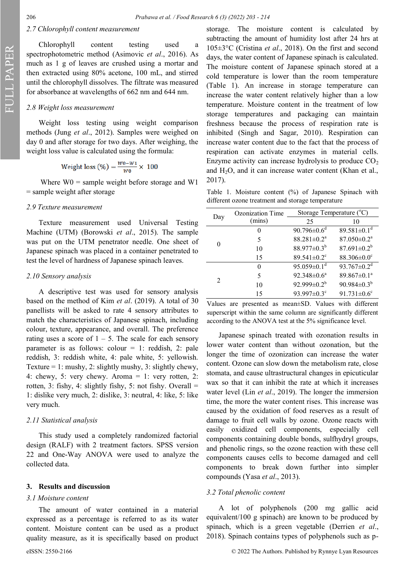FULL PAPER

## *2.7 Chlorophyll content measurement*

Chlorophyll content testing used a spectrophotometric method (Asimovic *et al*., 2016). As much as 1 g of leaves are crushed using a mortar and then extracted using 80% acetone, 100 mL, and stirred until the chlorophyll dissolves. The filtrate was measured for absorbance at wavelengths of 662 nm and 644 nm.

## *2.8 Weight loss measurement*

Weight loss testing using weight comparison methods (Jung *et al*., 2012). Samples were weighed on day 0 and after storage for two days. After weighing, the weight loss value is calculated using the formula:

Weight loss 
$$
(\%) = \frac{w_0 - w_1}{w_0} \times 100
$$

Where  $W0$  = sample weight before storage and W1 = sample weight after storage

## *2.9 Texture measurement*

Texture measurement used Universal Testing Machine (UTM) (Borowski *et al*., 2015). The sample was put on the UTM penetrator needle. One sheet of Japanese spinach was placed in a container penetrated to test the level of hardness of Japanese spinach leaves.

#### *2.10 Sensory analysis*

A descriptive test was used for sensory analysis based on the method of Kim *et al*. (2019). A total of 30 panellists will be asked to rate 4 sensory attributes to match the characteristics of Japanese spinach, including colour, texture, appearance, and overall. The preference rating uses a score of  $1 - 5$ . The scale for each sensory parameter is as follows: colour  $= 1$ : reddish, 2: pale reddish, 3: reddish white, 4: pale white, 5: yellowish. Texture = 1: mushy, 2: slightly mushy, 3: slightly chewy, 4: chewy, 5: very chewy. Aroma = 1: very rotten, 2: rotten, 3: fishy, 4: slightly fishy, 5: not fishy. Overall  $=$ 1: dislike very much, 2: dislike, 3: neutral, 4: like, 5: like very much.

#### *2.11 Statistical analysis*

This study used a completely randomized factorial design (RALF) with 2 treatment factors. SPSS version 22 and One-Way ANOVA were used to analyze the collected data.

#### **3. Results and discussion**

#### *3.1 Moisture content*

The amount of water contained in a material expressed as a percentage is referred to as its water content. Moisture content can be used as a product quality measure, as it is specifically based on product storage. The moisture content is calculated by subtracting the amount of humidity lost after 24 hrs at 105±3°C (Cristina *et al*., 2018). On the first and second days, the water content of Japanese spinach is calculated. The moisture content of Japanese spinach stored at a cold temperature is lower than the room temperature (Table 1). An increase in storage temperature can increase the water content relatively higher than a low temperature. Moisture content in the treatment of low storage temperatures and packaging can maintain freshness because the process of respiration rate is inhibited (Singh and Sagar, 2010). Respiration can increase water content due to the fact that the process of respiration can activate enzymes in material cells. Enzyme activity can increase hydrolysis to produce  $CO<sub>2</sub>$ and  $H_2O$ , and it can increase water content (Khan et al., 2017).

Table 1. Moisture content (%) of Japanese Spinach with different ozone treatment and storage temperature

| Day           | <b>Ozonization Time</b> | Storage Temperature $(°C)$    |                               |
|---------------|-------------------------|-------------------------------|-------------------------------|
|               | (mins)                  | 25                            | 10                            |
| 0             |                         | 90.796 $\pm$ 0.6 <sup>d</sup> | 89.581 $\pm$ 0.1 <sup>d</sup> |
|               | 5                       | $88.281 \pm 0.2^a$            | $87.050 \pm 0.2^a$            |
|               | 10                      | 88.977 $\pm$ 0.3 <sup>b</sup> | $87.691 \pm 0.2^b$            |
|               | 15                      | 89.541 $\pm$ 0.2 <sup>c</sup> | $88.306 \pm 0.0$ <sup>c</sup> |
|               | 0                       | 95.059 $\pm$ 0.1 <sup>d</sup> | $93.767 \pm 0.2^d$            |
| $\mathcal{L}$ | 5                       | $92.348 \pm 0.6^a$            | $89.867 \pm 0.1^a$            |
|               | 10                      | $92.999 \pm 0.2^b$            | 90.984 $\pm$ 0.3 <sup>b</sup> |
|               | 15                      | 93.997±0.3°                   | 91.731 $\pm$ 0.6°             |

Values are presented as mean±SD. Values with different superscript within the same column are significantly different according to the ANOVA test at the 5% significance level.

Japanese spinach treated with ozonation results in lower water content than without ozonation, but the longer the time of ozonization can increase the water content. Ozone can slow down the metabolism rate, close stomata, and cause ultrastructural changes in epicuticular wax so that it can inhibit the rate at which it increases water level (Lin *et al*., 2019). The longer the immersion time, the more the water content rises. This increase was caused by the oxidation of food reserves as a result of damage to fruit cell walls by ozone. Ozone reacts with easily oxidized cell components, especially cell components containing double bonds, sulfhydryl groups, and phenolic rings, so the ozone reaction with these cell components causes cells to become damaged and cell components to break down further into simpler compounds (Yasa *et al*., 2013).

#### *3.2 Total phenolic content*

A lot of polyphenols (200 mg gallic acid equivalent/100 g spinach) are known to be produced by spinach, which is a green vegetable (Derrien *et al*., 2018). Spinach contains types of polyphenols such as p-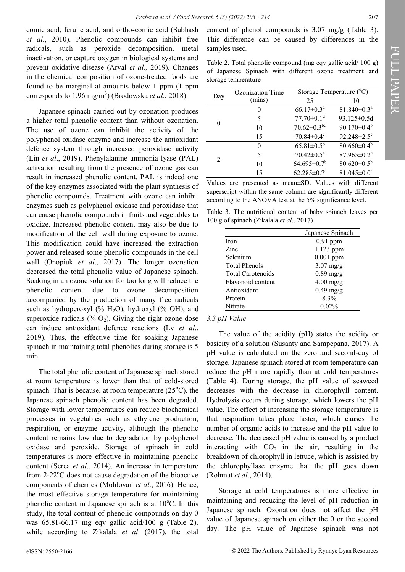comic acid, ferulic acid, and ortho-comic acid (Subhash *et al*., 2010). Phenolic compounds can inhibit free radicals, such as peroxide decomposition, metal inactivation, or capture oxygen in biological systems and prevent oxidative disease (Aryal *et al.,* 2019). Changes in the chemical composition of ozone-treated foods are found to be marginal at amounts below 1 ppm (1 ppm corresponds to 1.96 mg/m<sup>3</sup>) (Brodowska *et al.*, 2018).

Japanese spinach carried out by ozonation produces a higher total phenolic content than without ozonation. The use of ozone can inhibit the activity of the polyphenol oxidase enzyme and increase the antioxidant defence system through increased peroxidase activity (Lin *et al*., 2019). Phenylalanine ammonia lyase (PAL) activation resulting from the presence of ozone gas can result in increased phenolic content. PAL is indeed one of the key enzymes associated with the plant synthesis of phenolic compounds. Treatment with ozone can inhibit enzymes such as polyphenol oxidase and peroxidase that can cause phenolic compounds in fruits and vegetables to oxidize. Increased phenolic content may also be due to modification of the cell wall during exposure to ozone. This modification could have increased the extraction power and released some phenolic compounds in the cell wall (Onopiuk *et al*., 2017). The longer ozonation decreased the total phenolic value of Japanese spinach. Soaking in an ozone solution for too long will reduce the phenolic content due to ozone decomposition accompanied by the production of many free radicals such as hydroperoxyl (%  $H_2O$ ), hydroxyl (% OH), and superoxide radicals (%  $O_2$ ). Giving the right ozone dose can induce antioxidant defence reactions (Lv *et al*., 2019). Thus, the effective time for soaking Japanese spinach in maintaining total phenolics during storage is 5 min.

The total phenolic content of Japanese spinach stored at room temperature is lower than that of cold-stored spinach. That is because, at room temperature  $(25^{\circ}C)$ , the Japanese spinach phenolic content has been degraded. Storage with lower temperatures can reduce biochemical processes in vegetables such as ethylene production, respiration, or enzyme activity, although the phenolic content remains low due to degradation by polyphenol oxidase and peroxide. Storage of spinach in cold temperatures is more effective in maintaining phenolic content (Serea *et al*., 2014). An increase in temperature from  $2-22^{\circ}$ C does not cause degradation of the bioactive components of cherries (Moldovan *et al*., 2016). Hence, the most effective storage temperature for maintaining phenolic content in Japanese spinach is at  $10^{\circ}$ C. In this study, the total content of phenolic compounds on day 0 was 65.81-66.17 mg eqv gallic acid/100 g (Table 2), while according to Zikalala *et al*. (2017), the total

content of phenol compounds is 3.07 mg/g (Table 3). This difference can be caused by differences in the samples used.

Table 2. Total phenolic compound (mg eqv gallic acid/ 100 g) of Japanese Spinach with different ozone treatment and storage temperature

| Day                         | Ozonization Time | Storage Temperature (°C)     |                               |
|-----------------------------|------------------|------------------------------|-------------------------------|
|                             | (mins)           | 25                           | 10                            |
| 0                           |                  | $66.17 \pm 0.3^{\text{a}}$   | $81.840 \pm 0.3^{\text{a}}$   |
|                             | 5                | $77.70 \pm 0.1$ <sup>d</sup> | $93.125 \pm 0.5d$             |
|                             | 10               | $70.62 \pm 0.3$ bc           | $90.170 \pm 0.4^b$            |
|                             | 15               | $70.84 \pm 0.4$ <sup>c</sup> | $92.248 \pm 2.5$ <sup>c</sup> |
| $\mathcal{D}_{\mathcal{L}}$ | 0                | $65.81 \pm 0.5^b$            | $80.660 \pm 0.4^b$            |
|                             | 5                | $70.42 \pm 0.5$ °            | $87.965 \pm 0.2$ <sup>c</sup> |
|                             | 10               | $64.695 \pm 0.7^b$           | $80.620 \pm 0.5^b$            |
|                             | 15               | $62.285 \pm 0.7^{\text{a}}$  | $81.045 \pm 0.0^a$            |

Values are presented as mean±SD. Values with different superscript within the same column are significantly different according to the ANOVA test at the 5% significance level.

Table 3. The nutritional content of baby spinach leaves per 100 g of spinach (Zikalala *et al*., 2017)

|                          | Japanese Spinach |
|--------------------------|------------------|
| <b>Iron</b>              | $0.91$ ppm       |
| Zinc                     | 1.123 ppm        |
| Selenium                 | $0.001$ ppm      |
| <b>Total Phenols</b>     | $3.07$ mg/g      |
| <b>Total Carotenoids</b> | $0.89$ mg/g      |
| Flavonoid content        | $4.00$ mg/g      |
| Antioxidant              | $0.49$ mg/g      |
| Protein                  | 8.3%             |
| Nitrate                  | $0.02\%$         |

## *3.3 pH Value*

The value of the acidity (pH) states the acidity or basicity of a solution (Susanty and Sampepana, 2017). A pH value is calculated on the zero and second-day of storage. Japanese spinach stored at room temperature can reduce the pH more rapidly than at cold temperatures (Table 4). During storage, the pH value of seaweed decreases with the decrease in chlorophyll content. Hydrolysis occurs during storage, which lowers the pH value. The effect of increasing the storage temperature is that respiration takes place faster, which causes the number of organic acids to increase and the pH value to decrease. The decreased pH value is caused by a product interacting with  $CO<sub>2</sub>$  in the air, resulting in the breakdown of chlorophyll in lettuce, which is assisted by the chlorophyllase enzyme that the pH goes down (Rohmat *et al*., 2014).

Storage at cold temperatures is more effective in maintaining and reducing the level of pH reduction in Japanese spinach. Ozonation does not affect the pH value of Japanese spinach on either the 0 or the second day. The pH value of Japanese spinach was not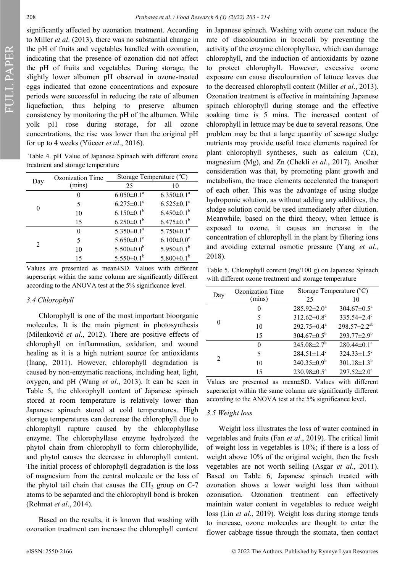FULL PAPER

significantly affected by ozonation treatment. According to Miller *et al*. (2013), there was no substantial change in the pH of fruits and vegetables handled with ozonation, indicating that the presence of ozonation did not affect the pH of fruits and vegetables. During storage, the slightly lower albumen pH observed in ozone-treated eggs indicated that ozone concentrations and exposure periods were successful in reducing the rate of albumen liquefaction, thus helping to preserve albumen consistency by monitoring the pH of the albumen. While yolk pH rose during storage, for all ozone concentrations, the rise was lower than the original pH for up to 4 weeks (Yüceer *et al*., 2016).

Table 4. pH Value of Japanese Spinach with different ozone treatment and storage temperature

| Day            | Ozonization Time | Storage Temperature $(^{\circ}C)$ |                              |
|----------------|------------------|-----------------------------------|------------------------------|
|                | (mins)           | 25                                | 10                           |
| 0              | 0                | $6.050 \pm 0.1^a$                 | $6.350 \pm 0.1^a$            |
|                | 5                | $6.275 \pm 0.1$ <sup>c</sup>      | $6.525 \pm 0.1$ <sup>c</sup> |
|                | 10               | $6.150 \pm 0.1^b$                 | $6.450 \pm 0.1^b$            |
|                | 15               | $6.250 \pm 0.1^b$                 | $6.475 \pm 0.1^b$            |
| $\mathfrak{D}$ | $\theta$         | $5.350 \pm 0.1^a$                 | $5.750 \pm 0.1^a$            |
|                | 5                | $5.650 \pm 0.1$ <sup>c</sup>      | $6.100 \pm 0.0$ <sup>c</sup> |
|                | 10               | $5.500 \pm 0.0^b$                 | 5.950 $\pm$ 0.1 <sup>b</sup> |
|                | 15               | $5.550 \pm 0.1^b$                 | $5.800 \pm 0.1^b$            |

Values are presented as mean±SD. Values with different superscript within the same column are significantly different according to the ANOVA test at the 5% significance level.

## *3.4 Chlorophyll*

Chlorophyll is one of the most important bioorganic molecules. It is the main pigment in photosynthesis (Milenković *et al*., 2012). There are positive effects of chlorophyll on inflammation, oxidation, and wound healing as it is a high nutrient source for antioxidants (İnanç, 2011). However, chlorophyll degradation is caused by non-enzymatic reactions, including heat, light, oxygen, and pH (Wang *et al*., 2013). It can be seen in Table 5, the chlorophyll content of Japanese spinach stored at room temperature is relatively lower than Japanese spinach stored at cold temperatures. High storage temperatures can decrease the chlorophyll due to chlorophyll rupture caused by the chlorophyllase enzyme. The chlorophyllase enzyme hydrolyzed the phytol chain from chlorophyll to form chlorophyllide, and phytol causes the decrease in chlorophyll content. The initial process of chlorophyll degradation is the loss of magnesium from the central molecule or the loss of the phytol tail chain that causes the  $CH<sub>3</sub>$  group on C-7 atoms to be separated and the chlorophyll bond is broken (Rohmat *et al*., 2014).

Based on the results, it is known that washing with ozonation treatment can increase the chlorophyll content in Japanese spinach. Washing with ozone can reduce the rate of discolouration in broccoli by preventing the activity of the enzyme chlorophyllase, which can damage chlorophyll, and the induction of antioxidants by ozone to protect chlorophyll. However, excessive ozone exposure can cause discolouration of lettuce leaves due to the decreased chlorophyll content (Miller *et al*., 2013). Ozonation treatment is effective in maintaining Japanese spinach chlorophyll during storage and the effective soaking time is 5 mins. The increased content of chlorophyll in lettuce may be due to several reasons. One problem may be that a large quantity of sewage sludge nutrients may provide useful trace elements required for plant chlorophyll syntheses, such as calcium (Ca), magnesium (Mg), and Zn (Chekli *et al*., 2017). Another consideration was that, by promoting plant growth and metabolism, the trace elements accelerated the transport of each other. This was the advantage of using sludge hydroponic solution, as without adding any additives, the sludge solution could be used immediately after dilution. Meanwhile, based on the third theory, when lettuce is exposed to ozone, it causes an increase in the concentration of chlorophyll in the plant by filtering ions and avoiding external osmotic pressure (Yang *et al.,* 2018).

Table 5. Chlorophyll content (mg/100 g) on Japanese Spinach with different ozone treatment and storage temperature

| Day                         | <b>Ozonization Time</b> | Storage Temperature $(°C)$    |                               |
|-----------------------------|-------------------------|-------------------------------|-------------------------------|
|                             | (mins)                  | 25                            | 10                            |
| 0                           | $\theta$                | $285.92 \pm 2.0^a$            | $304.67 \pm 0.5^{\text{a}}$   |
|                             | 5                       | $312.62 \pm 0.8$ <sup>c</sup> | $335.54 \pm 2.4$ <sup>c</sup> |
|                             | 10                      | 292.75±0.4 <sup>a</sup>       | $298.57 \pm 2.2^{ab}$         |
|                             | 15                      | $304.67 \pm 0.5^{\rm b}$      | $293.77 \pm 2.9^b$            |
| $\mathcal{D}_{\mathcal{A}}$ | 0                       | $245.08 \pm 2.7^b$            | $280.44 \pm 0.1^a$            |
|                             | 5                       | $284.51 \pm 1.4$ <sup>c</sup> | $324.33 \pm 1.5$ <sup>c</sup> |
|                             | 10                      | $240.35 \pm 0.9^b$            | $301.18 \pm 1.3^{b}$          |
|                             | 15                      | $230.98 \pm 0.5^{\text{a}}$   | $297.52 \pm 2.0^a$            |

Values are presented as mean±SD. Values with different superscript within the same column are significantly different according to the ANOVA test at the 5% significance level.

## *3.5 Weight loss*

Weight loss illustrates the loss of water contained in vegetables and fruits (Fan *et al*., 2019). The critical limit of weight loss in vegetables is 10%; if there is a loss of weight above 10% of the original weight, then the fresh vegetables are not worth selling (Asgar *et al*., 2011). Based on Table 6, Japanese spinach treated with ozonation shows a lower weight loss than without ozonisation. Ozonation treatment can effectively maintain water content in vegetables to reduce weight loss (Lin *et al*., 2019). Weight loss during storage tends to increase, ozone molecules are thought to enter the flower cabbage tissue through the stomata, then contact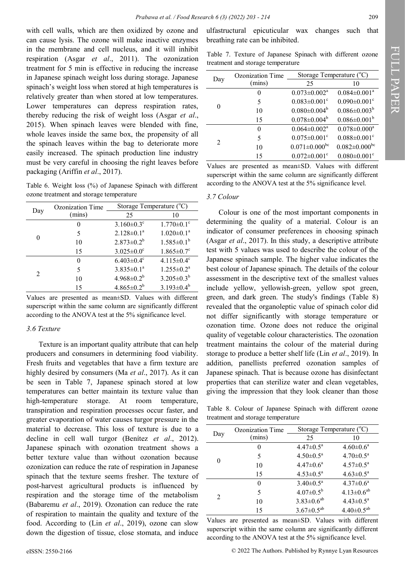with cell walls, which are then oxidized by ozone and can cause lysis. The ozone will make inactive enzymes in the membrane and cell nucleus, and it will inhibit respiration (Asgar *et al*., 2011). The ozonization treatment for 5 min is effective in reducing the increase in Japanese spinach weight loss during storage. Japanese spinach's weight loss when stored at high temperatures is relatively greater than when stored at low temperatures. Lower temperatures can depress respiration rates, thereby reducing the risk of weight loss (Asgar *et al*., 2015). When spinach leaves were blended with fine, whole leaves inside the same box, the propensity of all the spinach leaves within the bag to deteriorate more easily increased. The spinach production line industry must be very careful in choosing the right leaves before packaging (Ariffin *et al*., 2017).

Table 6. Weight loss (%) of Japanese Spinach with different ozone treatment and storage temperature

| Day                         | Ozonization Time | Storage Temperature (°C)     |                              |
|-----------------------------|------------------|------------------------------|------------------------------|
|                             | (mins)           | 25                           | 10                           |
| 0                           | 0                | $3.160 \pm 0.3$ <sup>c</sup> | $1.770 \pm 0.1$ <sup>c</sup> |
|                             | 5                | $2.128 \pm 0.1^a$            | $1.020 \pm 0.1^a$            |
|                             | 10               | $2.873 \pm 0.2^b$            | $1.585 \pm 0.1^b$            |
|                             | 15               | $3.025 \pm 0.0^{\circ}$      | $1.865 \pm 0.7$ <sup>c</sup> |
| $\mathcal{D}_{\mathcal{L}}$ | 0                | $6.403 \pm 0.4$ <sup>c</sup> | $4.115 \pm 0.4$ <sup>c</sup> |
|                             | 5                | $3.835 \pm 0.1^a$            | $1.255 \pm 0.2^a$            |
|                             | 10               | $4.968 \pm 0.2^b$            | $3.205 \pm 0.3^b$            |
|                             | 15               | $4.865 \pm 0.2^b$            | $3.193 \pm 0.4^b$            |

Values are presented as mean±SD. Values with different superscript within the same column are significantly different according to the ANOVA test at the 5% significance level.

#### *3.6 Texture*

Texture is an important quality attribute that can help producers and consumers in determining food viability. Fresh fruits and vegetables that have a firm texture are highly desired by consumers (Ma *et al*., 2017). As it can be seen in Table 7, Japanese spinach stored at low temperatures can better maintain its texture value than high-temperature storage. At room temperature, transpiration and respiration processes occur faster, and greater evaporation of water causes turgor pressure in the material to decrease. This loss of texture is due to a decline in cell wall turgor (Benítez *et al*., 2012). Japanese spinach with ozonation treatment shows a better texture value than without ozonation because ozonization can reduce the rate of respiration in Japanese spinach that the texture seems fresher. The texture of post-harvest agricultural products is influenced by respiration and the storage time of the metabolism (Babaremu *et al*., 2019). Ozonation can reduce the rate of respiration to maintain the quality and texture of the food. According to (Lin *et al*., 2019), ozone can slow down the digestion of tissue, close stomata, and induce

ulfastructural epicuticular wax changes such that breathing rate can be inhibited.

Table 7. Texture of Japanese Spinach with different ozone treatment and storage temperature

|                | Ozonization Time | Storage Temperature (°C)       |                                |
|----------------|------------------|--------------------------------|--------------------------------|
| Day            | (mins)           | 25                             | 10                             |
| 0              | 0                | $0.073 \pm 0.002$ <sup>a</sup> | $0.084 \pm 0.001$ <sup>a</sup> |
|                | 5                | $0.083 \pm 0.001$ <sup>c</sup> | $0.090 \pm 0.001$ <sup>c</sup> |
|                | 10               | $0.080 \pm 0.004^b$            | $0.086 \pm 0.003^b$            |
|                | 15               | $0.078 \pm 0.004^b$            | $0.086 \pm 0.001^b$            |
| $\mathfrak{D}$ | 0                | $0.064 \pm 0.002$ <sup>a</sup> | $0.078 \pm 0.000$ <sup>a</sup> |
|                | 5                | $0.075 \pm 0.001$ <sup>c</sup> | $0.088 \pm 0.001$ <sup>c</sup> |
|                | 10               | $0.071 \pm 0.000$ bc           | $0.082 \pm 0.000$ bc           |
|                | 15               | $0.072 \pm 0.001$ <sup>c</sup> | $0.080 \pm 0.001$ <sup>c</sup> |

Values are presented as mean±SD. Values with different superscript within the same column are significantly different according to the ANOVA test at the 5% significance level.

## *3.7 Colour*

Colour is one of the most important components in determining the quality of a material. Colour is an indicator of consumer preferences in choosing spinach (Asgar *et al*., 2017). In this study, a descriptive attribute test with 5 values was used to describe the colour of the Japanese spinach sample. The higher value indicates the best colour of Japanese spinach. The details of the colour assessment in the descriptive text of the smallest values include yellow, yellowish-green, yellow spot green, green, and dark green. The study's findings (Table 8) revealed that the organoleptic value of spinach color did not differ significantly with storage temperature or ozonation time. Ozone does not reduce the original quality of vegetable colour characteristics. The ozonation treatment maintains the colour of the material during storage to produce a better shelf life (Lin *et al*., 2019). In addition, panellists preferred ozonation samples of Japanese spinach. That is because ozone has disinfectant properties that can sterilize water and clean vegetables, giving the impression that they look cleaner than those

Table 8. Colour of Japanese Spinach with different ozone treatment and storage temperature

| Day            | Ozonization Time | Storage Temperature (°C)  |                           |
|----------------|------------------|---------------------------|---------------------------|
|                | (mins)           | 25                        | 10                        |
|                |                  | $4.47 \pm 0.5^{\text{a}}$ | $4.60 \pm 0.6^{\circ}$    |
|                | 5                | $4.50 \pm 0.5^{\text{a}}$ | $4.70 \pm 0.5^{\text{a}}$ |
|                | 10               | $4.47 \pm 0.6^{\text{a}}$ | $4.57 \pm 0.5^{\text{a}}$ |
|                | 15               | $4.53 \pm 0.5^{\text{a}}$ | $4.63 \pm 0.5^{\text{a}}$ |
|                | $\left( \right)$ | $3.40 \pm 0.5^{\text{a}}$ | $4.37 \pm 0.6^a$          |
| $\mathfrak{D}$ | 5                | $4.07 \pm 0.5^{\rm b}$    | $4.13 \pm 0.6^{ab}$       |
|                | 10               | $3.83 \pm 0.6^{ab}$       | $4.43 \pm 0.5^{\text{a}}$ |
|                | 15               | $3.67 \pm 0.5^{ab}$       | $4.40 \pm 0.5^{ab}$       |

Values are presented as mean±SD. Values with different superscript within the same column are significantly different according to the ANOVA test at the 5% significance level.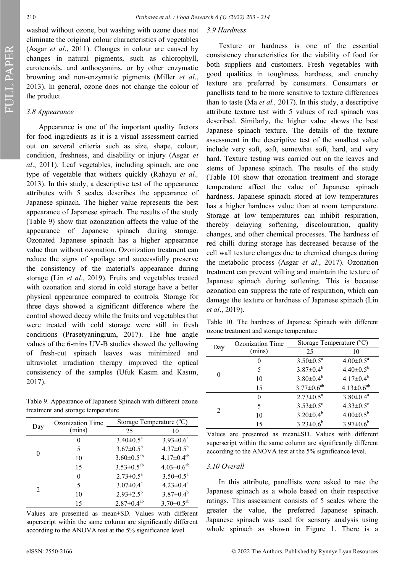washed without ozone, but washing with ozone does not eliminate the original colour characteristics of vegetables (Asgar *et al*., 2011). Changes in colour are caused by changes in natural pigments, such as chlorophyll, carotenoids, and anthocyanins, or by other enzymatic browning and non-enzymatic pigments (Miller *et al*., 2013). In general, ozone does not change the colour of the product.

#### *3.8 Appearance*

Appearance is one of the important quality factors for food ingredients as it is a visual assessment carried out on several criteria such as size, shape, colour, condition, freshness, and disability or injury (Asgar *et al*., 2011). Leaf vegetables, including spinach, are one type of vegetable that withers quickly (Rahayu *et al.,* 2013). In this study, a descriptive test of the appearance attributes with 5 scales describes the appearance of Japanese spinach. The higher value represents the best appearance of Japanese spinach. The results of the study (Table 9) show that ozonization affects the value of the appearance of Japanese spinach during storage. Ozonated Japanese spinach has a higher appearance value than without ozonation. Ozonization treatment can reduce the signs of spoilage and successfully preserve the consistency of the material's appearance during storage (Lin *et al*., 2019). Fruits and vegetables treated with ozonation and stored in cold storage have a better physical appearance compared to controls. Storage for three days showed a significant difference where the control showed decay while the fruits and vegetables that were treated with cold storage were still in fresh conditions (Prasetyaningrum, 2017). The hue angle values of the 6-mins UV-B studies showed the yellowing of fresh-cut spinach leaves was minimized and ultraviolet irradiation therapy improved the optical consistency of the samples (Ufuk Kasım and Kasım, 2017).

Table 9. Appearance of Japanese Spinach with different ozone treatment and storage temperature

| Day                         | <b>Ozonization Time</b> | Storage Temperature (°C)    |                             |
|-----------------------------|-------------------------|-----------------------------|-----------------------------|
|                             | (mins)                  | 25                          | 10                          |
| 0                           | $\theta$                | $3.40 \pm 0.5^{\text{a}}$   | $3.93 \pm 0.6^a$            |
|                             | 5                       | $3.67 \pm 0.5^b$            | $4.37 \pm 0.5^b$            |
|                             | 10                      | $3.60 \pm 0.5^{ab}$         | $4.17 \pm 0.4^{ab}$         |
|                             | 15                      | $3.53 \pm 0.5^{ab}$         | $4.03 \pm 0.6^{ab}$         |
| $\mathcal{D}_{\mathcal{L}}$ | $\Omega$                | $2.73 \pm 0.5^{\text{a}}$   | $3.50 \pm 0.5^a$            |
|                             | 5                       | $3.07 \pm 0.4$ <sup>c</sup> | $4.23 \pm 0.4$ <sup>c</sup> |
|                             | 10                      | $2.93 \pm 2.5^b$            | $3.87 \pm 0.4^b$            |
|                             | 15                      | $2.87 \pm 0.4^{ab}$         | $3.70 \pm 0.5^{ab}$         |

Values are presented as mean±SD. Values with different superscript within the same column are significantly different according to the ANOVA test at the 5% significance level.

## *3.9 Hardness*

Texture or hardness is one of the essential consistency characteristics for the viability of food for both suppliers and customers. Fresh vegetables with good qualities in toughness, hardness, and crunchy texture are preferred by consumers. Consumers or panellists tend to be more sensitive to texture differences than to taste (Ma *et al.,* 2017). In this study, a descriptive attribute texture test with 5 values of red spinach was described. Similarly, the higher value shows the best Japanese spinach texture. The details of the texture assessment in the descriptive test of the smallest value include very soft, soft, somewhat soft, hard, and very hard. Texture testing was carried out on the leaves and stems of Japanese spinach. The results of the study (Table 10) show that ozonation treatment and storage temperature affect the value of Japanese spinach hardness. Japanese spinach stored at low temperatures has a higher hardness value than at room temperature. Storage at low temperatures can inhibit respiration, thereby delaying softening, discolouration, quality changes, and other chemical processes. The hardness of red chilli during storage has decreased because of the cell wall texture changes due to chemical changes during the metabolic process (Asgar *et al*., 2017). Ozonation treatment can prevent wilting and maintain the texture of Japanese spinach during softening. This is because ozonation can suppress the rate of respiration, which can damage the texture or hardness of Japanese spinach (Lin *et al*., 2019).

Table 10. The hardness of Japanese Spinach with different ozone treatment and storage temperature

| Day           | Ozonization Time | Storage Temperature $(°C)$ |                           |
|---------------|------------------|----------------------------|---------------------------|
|               | (mins)           | 25                         | 10                        |
| 0             |                  | $3.50 \pm 0.5^a$           | $4.00 \pm 0.5^{\text{a}}$ |
|               | 5                | $3.87 \pm 0.4^b$           | $4.40 \pm 0.5^b$          |
|               | 10               | $3.80 \pm 0.4^b$           | $4.17 \pm 0.4^b$          |
|               | 15               | $3.77 \pm 0.6^{ab}$        | $4.13 \pm 0.6^{ab}$       |
| $\mathcal{L}$ | $\theta$         | $2.73 \pm 0.5^{\text{a}}$  | $3.80 \pm 0.4^{\text{a}}$ |
|               | 5                | $3.53 \pm 0.5$ °           | $4.33 \pm 0.5$ °          |
|               | 10               | $3.20 \pm 0.4^b$           | $4.00 \pm 0.5^{\rm b}$    |
|               | 15               | $3.23 \pm 0.6^b$           | $3.97 \pm 0.6^b$          |

Values are presented as mean±SD. Values with different superscript within the same column are significantly different according to the ANOVA test at the 5% significance level.

#### *3.10 Overall*

In this attribute, panellists were asked to rate the Japanese spinach as a whole based on their respective ratings. This assessment consists of 5 scales where the greater the value, the preferred Japanese spinach. Japanese spinach was used for sensory analysis using whole spinach as shown in Figure 1. There is a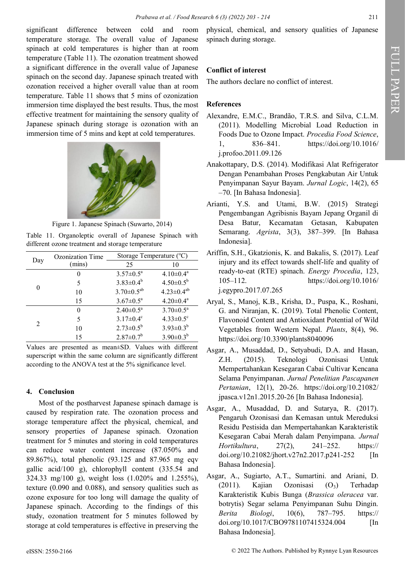significant difference between cold and room temperature storage. The overall value of Japanese spinach at cold temperatures is higher than at room temperature (Table 11). The ozonation treatment showed a significant difference in the overall value of Japanese spinach on the second day. Japanese spinach treated with ozonation received a higher overall value than at room temperature. Table 11 shows that 5 mins of ozonization immersion time displayed the best results. Thus, the most effective treatment for maintaining the sensory quality of Japanese spinach during storage is ozonation with an immersion time of 5 mins and kept at cold temperatures.



Figure 1. Japanese Spinach (Suwarto, 2014)

Table 11. Organoleptic overall of Japanese Spinach with different ozone treatment and storage temperature

| Day                         | Ozonization Time | Storage Temperature $(^{\circ}C)$ |                           |
|-----------------------------|------------------|-----------------------------------|---------------------------|
|                             | (mins)           | 25                                | 10                        |
| 0                           | 0                | $3.57 \pm 0.5^a$                  | $4.10 \pm 0.4^a$          |
|                             | 5                | $3.83 \pm 0.4^b$                  | $4.50 \pm 0.5^b$          |
|                             | 10               | $3.70 \pm 0.5^{ab}$               | $4.23 \pm 0.4^{ab}$       |
|                             | 15               | $3.67 \pm 0.5^{\text{a}}$         | $4.20 \pm 0.4^a$          |
| $\mathcal{D}_{\mathcal{L}}$ | $\theta$         | $2.40 \pm 0.5^a$                  | $3.70 \pm 0.5^{\text{a}}$ |
|                             | 5                | $3.17 \pm 0.4^c$                  | $4.33 \pm 0.5$ °          |
|                             | 10               | $2.73 \pm 0.5^b$                  | $3.93 \pm 0.3^b$          |
|                             | 15               | $2.87 \pm 0.7$ <sup>b</sup>       | $3.90 \pm 0.3^b$          |

Values are presented as mean±SD. Values with different superscript within the same column are significantly different according to the ANOVA test at the 5% significance level.

## **4. Conclusion**

Most of the postharvest Japanese spinach damage is caused by respiration rate. The ozonation process and storage temperature affect the physical, chemical, and sensory properties of Japanese spinach. Ozonation treatment for 5 minutes and storing in cold temperatures can reduce water content increase (87.050% and 89.867%), total phenolic (93.125 and 87.965 mg eqv gallic acid/100 g), chlorophyll content (335.54 and 324.33 mg/100 g), weight loss (1.020% and 1.255%), texture (0.090 and 0.088), and sensory qualities such as ozone exposure for too long will damage the quality of Japanese spinach. According to the findings of this study, ozonation treatment for 5 minutes followed by storage at cold temperatures is effective in preserving the

physical, chemical, and sensory qualities of Japanese spinach during storage.

## **Conflict of interest**

The authors declare no conflict of interest.

## **References**

- Alexandre, E.M.C., Brandão, T.R.S. and Silva, C.L.M. (2011). Modelling Microbial Load Reduction in Foods Due to Ozone Impact. *Procedia Food Science*, 1, 836–841. https://doi.org/10.1016/ j.profoo.2011.09.126
- Anakottapary, D.S. (2014). Modifikasi Alat Refrigerator Dengan Penambahan Proses Pengkabutan Air Untuk Penyimpanan Sayur Bayam. *Jurnal Logic*, 14(2), 65 –70. [In Bahasa Indonesia].
- Arianti, Y.S. and Utami, B.W. (2015) Strategi Pengembangan Agribisnis Bayam Jepang Organil di Desa Batur, Kecamatan Getasan, Kabupaten Semarang. *Agrista*, 3(3), 387–399. [In Bahasa Indonesia].
- Ariffin, S.H., Gkatzionis, K. and Bakalis, S. (2017). Leaf injury and its effect towards shelf-life and quality of ready-to-eat (RTE) spinach. *Energy Procedia*, 123, 105–112. https://doi.org/10.1016/ j.egypro.2017.07.265
- Aryal, S., Manoj, K.B., Krisha, D., Puspa, K., Roshani, G. and Niranjan, K. (2019). Total Phenolic Content, Flavonoid Content and Antioxidant Potential of Wild Vegetables from Western Nepal. *Plants*, 8(4), 96. https://doi.org/10.3390/plants8040096
- Asgar, A., Musaddad, D., Setyabudi, D.A. and Hasan, Z.H. (2015). Teknologi Ozonisasi Untuk Mempertahankan Kesegaran Cabai Cultivar Kencana Selama Penyimpanan. *Jurnal Penelitian Pascapanen Pertanian*, 12(1), 20-26. [https://doi.org/10.21082/](https://doi.org/10.21082/jpasca.v12n1.2015.20-26) [jpasca.v12n1.2015.20](https://doi.org/10.21082/jpasca.v12n1.2015.20-26)-26 [In Bahasa Indonesia].
- Asgar, A., Musaddad, D. and Sutarya, R. (2017). Pengaruh Ozonisasi dan Kemasan untuk Mereduksi Residu Pestisida dan Mempertahankan Karakteristik Kesegaran Cabai Merah dalam Penyimpana. *Jurnal Hortikultura*, 27(2), 241–252. [https://](https://doi.org/10.21082/jhort.v27n2.2017.p241-252) [doi.org/10.21082/jhort.v27n2.2017.p241](https://doi.org/10.21082/jhort.v27n2.2017.p241-252)-252 [In Bahasa Indonesia].
- Asgar, A., Sugiarto, A.T., Sumartini. and Ariani, D. (2011). Kajian Ozonisasi  $(O_3)$  Terhadap Karakteristik Kubis Bunga (*Brassica oleracea* var. botrytis) Segar selama Penyimpanan Suhu Dingin. *Berita Biologi*, 10(6), 787–795. [https://](https://doi.org/10.1017/CBO9781107415324.004) [doi.org/10.1017/CBO9781107415324.004 \[](https://doi.org/10.1017/CBO9781107415324.004)In Bahasa Indonesia].

FULL PAPER

FULL PAPER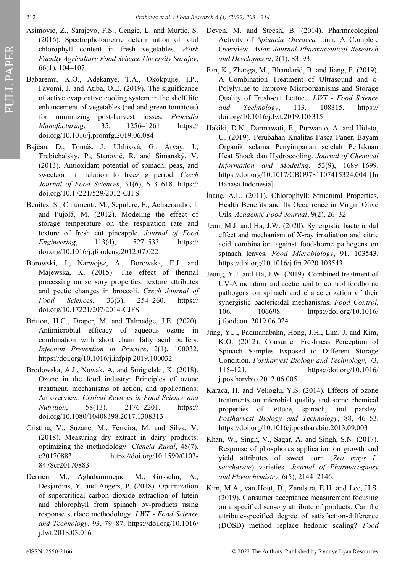- Asimovic, Z., Sarajevo, F.S., Cengic, L. and Murtic, S. (2016). Spectrophotometric determination of total chlorophyll content in fresh vegetables. *Work Faculty Agriculture Food Science Unversity Sarajev*, 66(1), 104–107.
- Babaremu, K.O., Adekanye, T.A., Okokpujie, I.P., Fayomi, J. and Atiba, O.E. (2019). The significance of active evaporative cooling system in the shelf life enhancement of vegetables (red and green tomatoes) for minimizing post-harvest losses. *Procedia Manufacturing*, 35, 1256–1261. https:// doi.org/10.1016/j.promfg.2019.06.084
- Bajčan, D., Tomáš, J., Uhlířová, G., Árvay, J., Trebichalský, P., Stanovič, R. and Šimanský, V. (2013). Antioxidant potential of spinach, peas, and sweetcorn in relation to freezing period. *Czech Journal of Food Sciences*, 31(6), 613–618. https:// doi.org/10.17221/529/2012-CJFS
- Benítez, S., Chiumenti, M., Sepulcre, F., Achaerandio, I. and Pujolá, M. (2012). Modeling the effect of storage temperature on the respiration rate and texture of fresh cut pineapple. *Journal of Food Engineering*, 113(4), 527–533. https:// doi.org/10.1016/j.jfoodeng.2012.07.022
- Borowski, J., Narwojsz, A., Borowska, E.J. and Majewska, K. (2015). The effect of thermal processing on sensory properties, texture attributes and pectic changes in broccoli. *Czech Journal of Food Sciences*, 33(3), 254–260. https:// doi.org/10.17221/207/2014-CJFS
- Britton, H.C., Draper, M. and Talmadge, J.E. (2020). Antimicrobial efficacy of aqueous ozone in combination with short chain fatty acid buffers. *Infection Prevention in Practice*, 2(1), 100032. https://doi.org/10.1016/j.infpip.2019.100032
- Brodowska, A.J., Nowak, A. and Śmigielski, K. (2018). Ozone in the food industry: Principles of ozone treatment, mechanisms of action, and applications: An overview. *Critical Reviews in Food Science and Nutrition*, 58(13), 2176–2201. https:// doi.org/10.1080/10408398.2017.1308313
- Cristina, V., Suzane, M., Ferreira, M. and Silva, V. (2018). Measuring dry extract in dairy products: optimizing the methodology. *Ciencia Rural*, 48(7), e20170883. https://doi.org/10.1590/0103- 8478cr20170883
- Derrien, M., Aghabararnejad, M., Gosselin, A., Desjardins, Y. and Angers, P. (2018). Optimization of supercritical carbon dioxide extraction of lutein and chlorophyll from spinach by-products using response surface methodology. *LWT - Food Science and Technology*, 93, 79–87. [https://doi.org/10.1016/](about:blank) [j.lwt.2018.03.016](about:blank)
- Deven, M. and Steesh, B. (2014). Pharmacological Activity of *Spinacia Oleracea* Linn. A Complete Overview. *Asian Journal Pharmaceutical Research and Development*, 2(1), 83–93.
- Fan, K., Zhanga, M., Bhandarid, B. and Jiang, F. (2019). A Combination Treatment of Ultrasound and ε-Polylysine to Improve Microorganisms and Storage Quality of Fresh-cut Lettuce. *LWT - Food Science and Technology*, 113*,* 108315. https:// doi.org/10.1016/j.lwt.2019.108315
- Hakiki, D.N., Darmawati, E., Purwanto, A. and Hideto, U. (2019). Perubahan Kualitas Pasca Panen Bayam Organik selama Penyimpanan setelah Perlakuan Heat Shock dan Hydrocooling. *Journal of Chemical Information and Modeling*, 53(9), 1689–1699. [https://doi.org/10.1017/CBO9781107415324.004 \[](about:blank)In Bahasa Indonesia].
- İnanç, A.L. (2011). Chlorophyll: Structural Properties, Health Benefits and Its Occurrence in Virgin Olive Oils. *Academic Food Journal*, 9(2), 26–32.
- Jeon, M.J. and Ha, J.W. (2020). Synergistic bactericidal effect and mechanism of X-ray irradiation and citric acid combination against food-borne pathogens on spinach leaves. *Food Microbiology*, 91, 103543. https://doi.org/10.1016/j.fm.2020.103543
- Jeong, Y.J. and Ha, J.W. (2019). Combined treatment of UV-A radiation and acetic acid to control foodborne pathogens on spinach and characterization of their synergistic bactericidal mechanisms. *Food Control*, 106, 106698. https://doi.org/10.1016/ j.foodcont.2019.06.024
- Jung, Y.J., Padmanabahn, Hong, J.H., Lim, J. and Kim, K.O. (2012). Consumer Freshness Perception of Spinach Samples Exposed to Different Storage Condition. *Postharvest Biology and Technology*, 73, 115–121. [https://doi.org/10.1016/](https://doi.org/10.1016/j.postharvbio.2012.06.005) [j.postharvbio.2012.06.005](https://doi.org/10.1016/j.postharvbio.2012.06.005)
- Karaca, H. and Velioglu, Y.S. (2014). Effects of ozone treatments on microbial quality and some chemical properties of lettuce, spinach, and parsley. *Postharvest Biology and Technology*, 88, 46–53. https://doi.org/10.1016/j.postharvbio.2013.09.003
- Khan, W., Singh, V., Sagar, A. and Singh, S.N. (2017). Response of phosphorus application on growth and yield attributes of sweet corn (*Zea mays L. saccharate*) varieties. *Journal of Pharmacognosy and Phytochemistry*, 6(5), 2144–2146.
- Kim, M.A., van Hout, D., Zandstra, E.H. and Lee, H.S. (2019). Consumer acceptance measurement focusing on a specified sensory attribute of products: Can the attribute-specified degree of satisfaction-difference (DOSD) method replace hedonic scaling? *Food*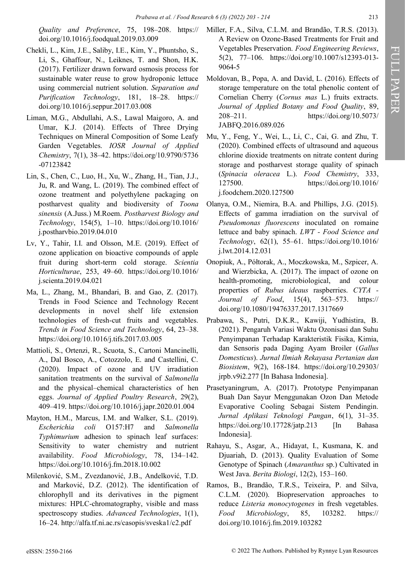*Quality and Preference*, 75, 198–208. https:// doi.org/10.1016/j.foodqual.2019.03.009

- Chekli, L., Kim, J.E., Saliby, I.E., Kim, Y., Phuntsho, S., Li, S., Ghaffour, N., Leiknes, T. and Shon, H.K. (2017). Fertilizer drawn forward osmosis process for sustainable water reuse to grow hydroponic lettuce using commercial nutrient solution. *Separation and Purification Technology*, 181, 18–28. https:// doi.org/10.1016/j.seppur.2017.03.008
- Liman, M.G., Abdullahi, A.S., Lawal Maigoro, A. and Umar, K.J. (2014). Effects of Three Drying Techniques on Mineral Composition of Some Leafy Garden Vegetables. *IOSR Journal of Applied Chemistry*, 7(1), 38–42. https://doi.org/10.9790/5736 -07123842
- Lin, S., Chen, C., Luo, H., Xu, W., Zhang, H., Tian, J.J., Ju, R. and Wang, L. (2019). The combined effect of ozone treatment and polyethylene packaging on postharvest quality and biodiversity of *Toona sinensis* (A.Juss.) M.Roem. *Postharvest Biology and Technology*, 154(5), 1–10. https://doi.org/10.1016/ j.postharvbio.2019.04.010
- Lv, Y., Tahir, I.I. and Olsson, M.E. (2019). Effect of ozone application on bioactive compounds of apple fruit during short-term cold storage. *Scientia Horticulturae*, 253, 49–60. https://doi.org/10.1016/ j.scienta.2019.04.021
- Ma, L., Zhang, M., Bhandari, B. and Gao, Z. (2017). Trends in Food Science and Technology Recent developments in novel shelf life extension technologies of fresh-cut fruits and vegetables. *Trends in Food Science and Technology*, 64, 23–38. https://doi.org/10.1016/j.tifs.2017.03.005
- Mattioli, S., Ortenzi, R., Scuota, S., Cartoni Mancinelli, A., Dal Bosco, A., Cotozzolo, E. and Castellini, C. (2020). Impact of ozone and UV irradiation sanitation treatments on the survival of *Salmonella* and the physical–chemical characteristics of hen eggs. *Journal of Applied Poultry Research*, 29(2), 409–419. https://doi.org/10.1016/j.japr.2020.01.004
- Mayton, H.M., Marcus, I.M. and Walker, S.L. (2019). *Escherichia coli* O157:H7 and *Salmonella Typhimurium* adhesion to spinach leaf surfaces: Sensitivity to water chemistry and nutrient availability. *Food Microbiology*, 78, 134–142. https://doi.org/10.1016/j.fm.2018.10.002
- Milenković, S.M., Zvezdanović, J.B., Andelković, T.D. and Marković, D.Z. (2012). The identification of chlorophyll and its derivatives in the pigment mixtures: HPLC-chromatography, visible and mass spectroscopy studies. *Advanced Technologies*, 1(1), 16–24. http://alfa.tf.ni.ac.rs/casopis/sveska1/c2.pdf
- Miller, F.A., Silva, C.L.M. and Brandão, T.R.S. (2013). A Review on Ozone-Based Treatments for Fruit and Vegetables Preservation. *Food Engineering Reviews*, 5(2), 77–106. https://doi.org/10.1007/s12393-013- 9064-5
- Moldovan, B., Popa, A. and David, L. (2016). Effects of storage temperature on the total phenolic content of Cornelian Cherry (*Cornus mas* L.) fruits extracts. *Journal of Applied Botany and Food Quality*, 89, 208–211. https://doi.org/10.5073/ JABFQ.2016.089.026
- Mu, Y., Feng, Y., Wei, L., Li, C., Cai, G. and Zhu, T. (2020). Combined effects of ultrasound and aqueous chlorine dioxide treatments on nitrate content during storage and postharvest storage quality of spinach (*Spinacia oleracea* L.). *Food Chemistry*, 333, 127500. https://doi.org/10.1016/ j.foodchem.2020.127500
- Olanya, O.M., Niemira, B.A. and Phillips, J.G. (2015). Effects of gamma irradiation on the survival of *Pseudomonas fluorescens* inoculated on romaine lettuce and baby spinach. *LWT - Food Science and Technology*, 62(1), 55–61. https://doi.org/10.1016/ j.lwt.2014.12.031
- Onopiuk, A., Półtorak, A., Moczkowska, M., Szpicer, A. and Wierzbicka, A. (2017). The impact of ozone on health-promoting, microbiological, and colour properties of *Rubus ideaus* raspberries. *CYTA - Journal of Food*, 15(4), 563–573. [https://](about:blank) [doi.org/10.1080/19476337.2017.1317669](about:blank)
- Prabawa, S., Putri, D.K.R., Kawiji, Yudhistira, B. (2021). Pengaruh Variasi Waktu Ozonisasi dan Suhu Penyimpanan Terhadap Karakteristik Fisika, Kimia, dan Sensoris pada Daging Ayam Broiler (*Gallus Domesticus*). *Jurnal Ilmiah Rekayasa Pertanian dan Biosistem*, 9(2), 168-184. https://doi.org/10.29303/ jrpb.v9i2.277 [In Bahasa Indonesia].
- Prasetyaningrum, A. (2017). Prototype Penyimpanan Buah Dan Sayur Menggunakan Ozon Dan Metode Evaporative Cooling Sebagai Sistem Pendingin. *Jurnal Aplikasi Teknologi Pangan*, 6(1), 31–35. [https://doi.org/10.17728/jatp.213 \[](https://doi.org/10.17728/jatp.213)In Bahasa Indonesia].
- Rahayu, S., Asgar, A., Hidayat, I., Kusmana, K. and Djuariah, D. (2013). Quality Evaluation of Some Genotype of Spinach (*Amaranthus* sp.) Cultivated in West Java. *Berita Biologi*, 12(2), 153–160.
- Ramos, B., Brandão, T.R.S., Teixeira, P. and Silva, C.L.M. (2020). Biopreservation approaches to reduce *Listeria monocytogenes* in fresh vegetables. *Food Microbiology*, 85, 103282. https:// doi.org/10.1016/j.fm.2019.103282